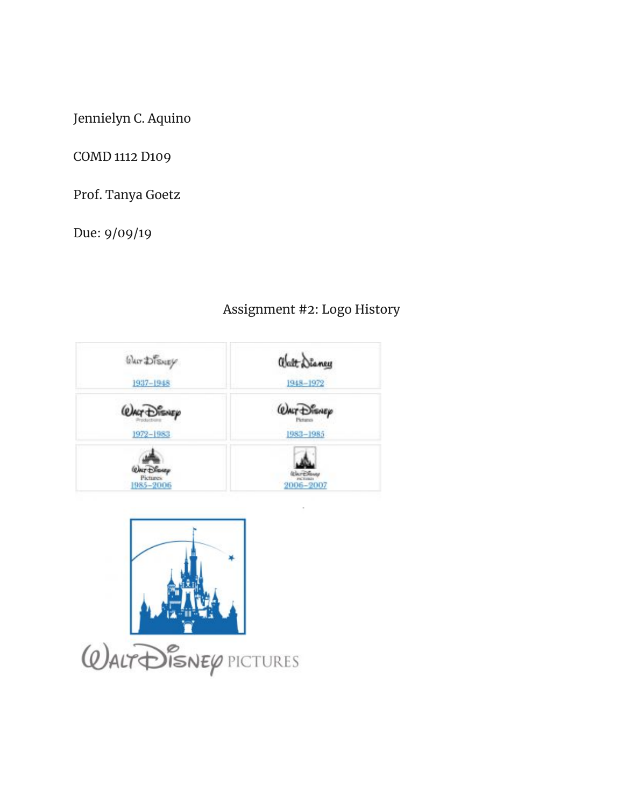Jennielyn C. Aquino

COMD 1112 D109

Prof. Tanya Goetz

Due: 9/09/19

## abatt Diancy Wher Disney 1948-1972 1937-1948 **QALT DIENEP** *Quar Disnep* 1972-1983 1983-1985 **WAIT Disney** Pictures<br>1985-2006 2006-2007





## Assignment #2: Logo History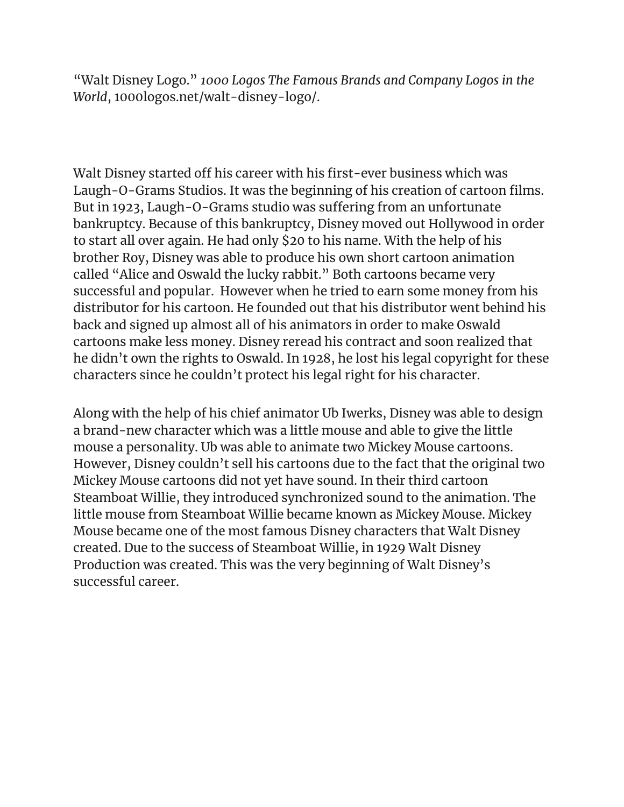"Walt Disney Logo." *1000 Logos The Famous Brands and Company Logos in the World*, 1000logos.net/walt-disney-logo/.

Walt Disney started off his career with his first-ever business which was Laugh-O-Grams Studios. It was the beginning of his creation of cartoon films. But in 1923, Laugh-O-Grams studio was suffering from an unfortunate bankruptcy. Because of this bankruptcy, Disney moved out Hollywood in order to start all over again. He had only \$20 to his name. With the help of his brother Roy, Disney was able to produce his own short cartoon animation called "Alice and Oswald the lucky rabbit." Both cartoons became very successful and popular. However when he tried to earn some money from his distributor for his cartoon. He founded out that his distributor went behind his back and signed up almost all of his animators in order to make Oswald cartoons make less money. Disney reread his contract and soon realized that he didn't own the rights to Oswald. In 1928, he lost his legal copyright for these characters since he couldn't protect his legal right for his character.

Along with the help of his chief animator Ub Iwerks, Disney was able to design a brand-new character which was a little mouse and able to give the little mouse a personality. Ub was able to animate two Mickey Mouse cartoons. However, Disney couldn't sell his cartoons due to the fact that the original two Mickey Mouse cartoons did not yet have sound. In their third cartoon Steamboat Willie, they introduced synchronized sound to the animation. The little mouse from Steamboat Willie became known as Mickey Mouse. Mickey Mouse became one of the most famous Disney characters that Walt Disney created. Due to the success of Steamboat Willie, in 1929 Walt Disney Production was created. This was the very beginning of Walt Disney's successful career.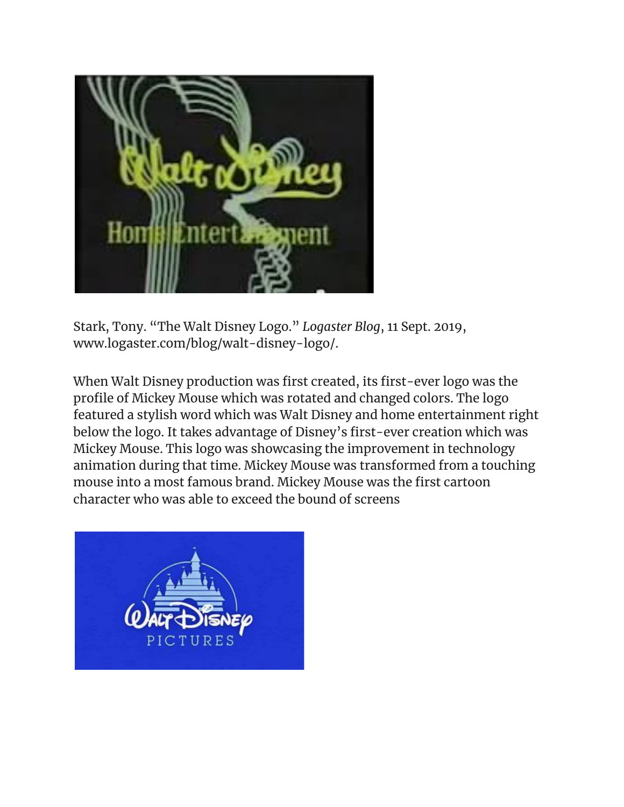

Stark, Tony. "The Walt Disney Logo." *Logaster Blog*, 11 Sept. 2019, www.logaster.com/blog/walt-disney-logo/.

When Walt Disney production was first created, its first-ever logo was the profile of Mickey Mouse which was rotated and changed colors. The logo featured a stylish word which was Walt Disney and home entertainment right below the logo. It takes advantage of Disney's first-ever creation which was Mickey Mouse. This logo was showcasing the improvement in technology animation during that time. Mickey Mouse was transformed from a touching mouse into a most famous brand. Mickey Mouse was the first cartoon character who was able to exceed the bound of screens

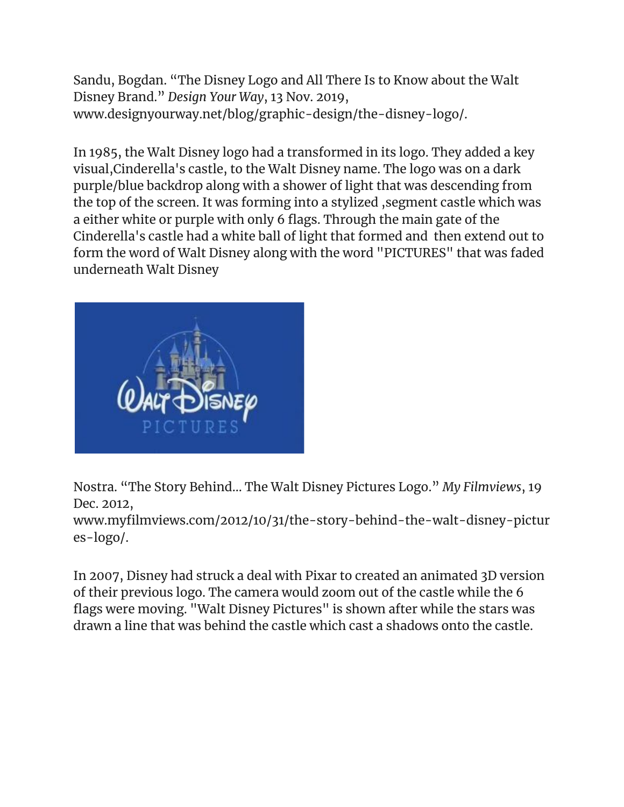Sandu, Bogdan. "The Disney Logo and All There Is to Know about the Walt Disney Brand." *Design Your Way*, 13 Nov. 2019, www.designyourway.net/blog/graphic-design/the-disney-logo/.

In 1985, the Walt Disney logo had a transformed in its logo. They added a key visual,Cinderella's castle, to the Walt Disney name. The logo was on a dark purple/blue backdrop along with a shower of light that was descending from the top of the screen. It was forming into a stylized ,segment castle which was a either white or purple with only 6 flags. Through the main gate of the Cinderella's castle had a white ball of light that formed and then extend out to form the word of Walt Disney along with the word "PICTURES" that was faded underneath Walt Disney



Nostra. "The Story Behind... The Walt Disney Pictures Logo." *My Filmviews*, 19 Dec. 2012,

www.myfilmviews.com/2012/10/31/the-story-behind-the-walt-disney-pictur es-logo/.

In 2007, Disney had struck a deal with Pixar to created an animated 3D version of their previous logo. The camera would zoom out of the castle while the 6 flags were moving. "Walt Disney Pictures" is shown after while the stars was drawn a line that was behind the castle which cast a shadows onto the castle.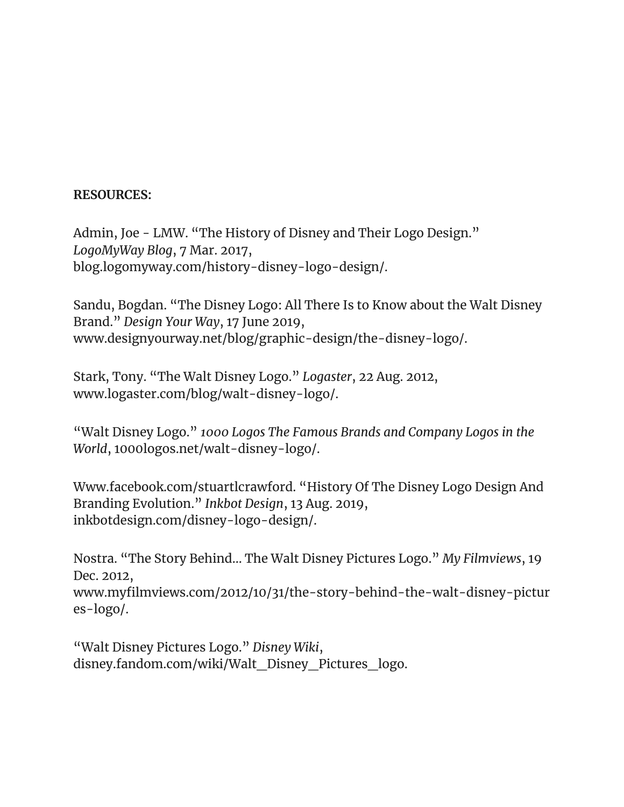## **RESOURCES:**

Admin, Joe - LMW. "The History of Disney and Their Logo Design." *LogoMyWay Blog*, 7 Mar. 2017, blog.logomyway.com/history-disney-logo-design/.

Sandu, Bogdan. "The Disney Logo: All There Is to Know about the Walt Disney Brand." *Design Your Way*, 17 June 2019, www.designyourway.net/blog/graphic-design/the-disney-logo/.

Stark, Tony. "The Walt Disney Logo." *Logaster*, 22 Aug. 2012, www.logaster.com/blog/walt-disney-logo/.

"Walt Disney Logo." *1000 Logos The Famous Brands and Company Logos in the World*, 1000logos.net/walt-disney-logo/.

Www.facebook.com/stuartlcrawford. "History Of The Disney Logo Design And Branding Evolution." *Inkbot Design*, 13 Aug. 2019, inkbotdesign.com/disney-logo-design/.

Nostra. "The Story Behind... The Walt Disney Pictures Logo." *My Filmviews*, 19 Dec. 2012, www.myfilmviews.com/2012/10/31/the-story-behind-the-walt-disney-pictur es-logo/.

"Walt Disney Pictures Logo." *Disney Wiki*, disney.fandom.com/wiki/Walt\_Disney\_Pictures\_logo.